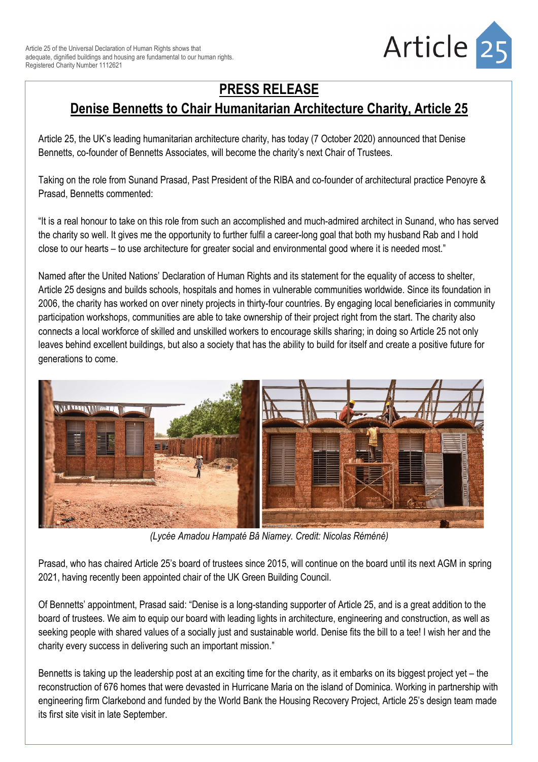

## **PRESS RELEASE**

## **Denise Bennetts to Chair Humanitarian Architecture Charity, Article 25**

Article 25, the UK's leading humanitarian architecture charity, has today (7 October 2020) announced that Denise Bennetts, co-founder of Bennetts Associates, will become the charity's next Chair of Trustees.

Taking on the role from Sunand Prasad, Past President of the RIBA and co-founder of architectural practice Penoyre & Prasad, Bennetts commented:

"It is a real honour to take on this role from such an accomplished and much-admired architect in Sunand, who has served the charity so well. It gives me the opportunity to further fulfil a career-long goal that both my husband Rab and I hold close to our hearts – to use architecture for greater social and environmental good where it is needed most."

Named after the United Nations' Declaration of Human Rights and its statement for the equality of access to shelter, Article 25 designs and builds schools, hospitals and homes in vulnerable communities worldwide. Since its foundation in 2006, the charity has worked on over ninety projects in thirty-four countries. By engaging local beneficiaries in community participation workshops, communities are able to take ownership of their project right from the start. The charity also connects a local workforce of skilled and unskilled workers to encourage skills sharing; in doing so Article 25 not only leaves behind excellent buildings, but also a society that has the ability to build for itself and create a positive future for generations to come.



*(Lycée Amadou Hampaté Bâ Niamey. Credit: Nicolas Réméné)*

Prasad, who has chaired Article 25's board of trustees since 2015, will continue on the board until its next AGM in spring 2021, having recently been appointed chair of the UK Green Building Council.

Of Bennetts' appointment, Prasad said: "Denise is a long-standing supporter of Article 25, and is a great addition to the board of trustees. We aim to equip our board with leading lights in architecture, engineering and construction, as well as seeking people with shared values of a socially just and sustainable world. Denise fits the bill to a tee! I wish her and the charity every success in delivering such an important mission."

Bennetts is taking up the leadership post at an exciting time for the charity, as it embarks on its biggest project yet – the reconstruction of 676 homes that were devasted in Hurricane Maria on the island of Dominica. Working in partnership with engineering firm Clarkebond and funded by the World Bank the Housing Recovery Project, Article 25's design team made its first site visit in late September.